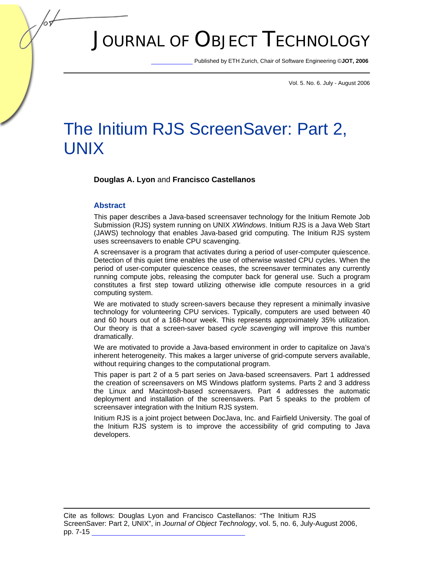# JOURNAL OF OBJECT TECHNOLOGY

Published by ETH Zurich, Chair of Software Engineering ©**JOT, 2006** 

Vol. 5. No. 6. July - August 2006

## The Initium RJS ScreenSaver: Part 2, UNIX

**Douglas A. Lyon** and **Francisco Castellanos**

#### **Abstract**

This paper describes a Java-based screensaver technology for the Initium Remote Job Submission (RJS) system running on UNIX *XWindows*. Initium RJS is a Java Web Start (JAWS) technology that enables Java-based grid computing. The Initium RJS system uses screensavers to enable CPU scavenging.

A screensaver is a program that activates during a period of user-computer quiescence. Detection of this quiet time enables the use of otherwise wasted CPU cycles. When the period of user-computer quiescence ceases, the screensaver terminates any currently running compute jobs, releasing the computer back for general use. Such a program constitutes a first step toward utilizing otherwise idle compute resources in a grid computing system.

We are motivated to study screen-savers because they represent a minimally invasive technology for volunteering CPU services. Typically, computers are used between 40 and 60 hours out of a 168-hour week. This represents approximately 35% utilization. Our theory is that a screen-saver based *cycle scavenging* will improve this number dramatically.

We are motivated to provide a Java-based environment in order to capitalize on Java's inherent heterogeneity. This makes a larger universe of grid-compute servers available, without requiring changes to the computational program.

This paper is part 2 of a 5 part series on Java-based screensavers. Part 1 addressed the creation of screensavers on MS Windows platform systems. Parts 2 and 3 address the Linux and Macintosh-based screensavers. Part 4 addresses the automatic deployment and installation of the screensavers. Part 5 speaks to the problem of screensaver integration with the Initium RJS system.

Initium RJS is a joint project between DocJava, Inc. and Fairfield University. The goal of the Initium RJS system is to improve the accessibility of grid computing to Java developers.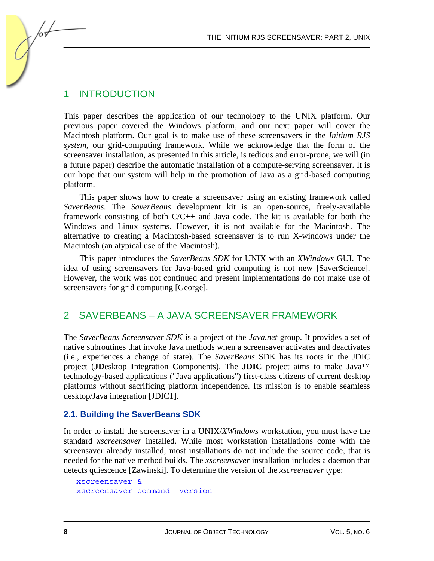## 1 INTRODUCTION

This paper describes the application of our technology to the UNIX platform. Our previous paper covered the Windows platform, and our next paper will cover the Macintosh platform. Our goal is to make use of these screensavers in the *Initium RJS system*, our grid-computing framework*.* While we acknowledge that the form of the screensaver installation, as presented in this article, is tedious and error-prone, we will (in a future paper) describe the automatic installation of a compute-serving screensaver. It is our hope that our system will help in the promotion of Java as a grid-based computing platform.

This paper shows how to create a screensaver using an existing framework called *SaverBeans*. The *SaverBeans* development kit is an open-source, freely-available framework consisting of both  $C/C++$  and Java code. The kit is available for both the Windows and Linux systems. However, it is not available for the Macintosh. The alternative to creating a Macintosh-based screensaver is to run X-windows under the Macintosh (an atypical use of the Macintosh).

This paper introduces the *SaverBeans SDK* for UNIX with an *XWindows* GUI. The idea of using screensavers for Java-based grid computing is not new [SaverScience]. However, the work was not continued and present implementations do not make use of screensavers for grid computing [George].

## 2 SAVERBEANS – A JAVA SCREENSAVER FRAMEWORK

The *SaverBeans Screensaver SDK* is a project of the *Java.net* group. It provides a set of native subroutines that invoke Java methods when a screensaver activates and deactivates (i.e., experiences a change of state). The *SaverBeans* SDK has its roots in the JDIC project (**JD**esktop **I**ntegration **C**omponents). The **JDIC** project aims to make Java™ technology-based applications ("Java applications") first-class citizens of current desktop platforms without sacrificing platform independence. Its mission is to enable seamless desktop/Java integration [JDIC1].

#### **2.1. Building the SaverBeans SDK**

In order to install the screensaver in a UNIX/*XWindows* workstation, you must have the standard *xscreensaver* installed. While most workstation installations come with the screensaver already installed, most installations do not include the source code, that is needed for the native method builds. The *xscreensaver* installation includes a daemon that detects quiescence [Zawinski]. To determine the version of the *xscreensaver* type:

```
xscreensaver & 
xscreensaver-command –version
```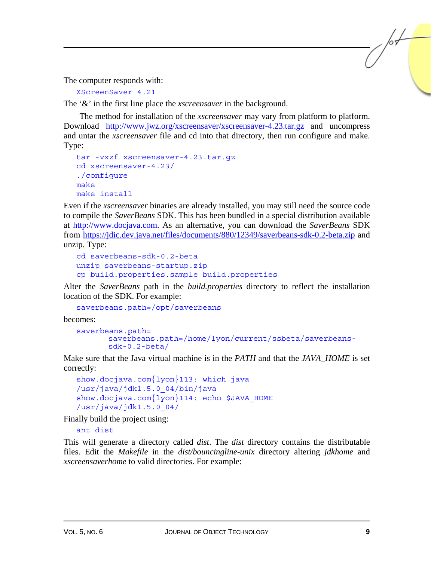The computer responds with:

XScreenSaver 4.21

The '&' in the first line place the *xscreensaver* in the background.

The method for installation of the *xscreensaver* may vary from platform to platform. Download <http://www.jwz.org/xscreensaver/xscreensaver-4.23.tar.gz> and uncompress and untar the *xscreensaver* file and cd into that directory, then run configure and make. Type:

```
tar -vxzf xscreensaver-4.23.tar.gz 
cd xscreensaver-4.23/ 
./configure 
make 
make install
```
Even if the *xscreensaver* binaries are already installed, you may still need the source code to compile the *SaverBeans* SDK. This has been bundled in a special distribution available at [http://www.docjava.com.](http://www.docjava.com) As an alternative, you can download the *SaverBeans* SDK from <https://jdic.dev.java.net/files/documents/880/12349/saverbeans-sdk-0.2-beta.zip>and unzip. Type:

```
cd saverbeans-sdk-0.2-beta 
unzip saverbeans-startup.zip 
cp build.properties.sample build.properties
```
Alter the *SaverBeans* path in the *build.properties* directory to reflect the installation location of the SDK. For example:

saverbeans.path=/opt/saverbeans

becomes:

```
saverbeans.path= 
       saverbeans.path=/home/lyon/current/ssbeta/saverbeans-
       sdk-0.2-beta/
```
Make sure that the Java virtual machine is in the *PATH* and that the *JAVA\_HOME* is set correctly:

```
show.docjava.com{lyon}113: which java 
/usr/java/jdk1.5.0_04/bin/java 
show.docjava.com{lyon}114: echo $JAVA HOME
/usr/java/jdk1.5.0_04/
```
Finally build the project using:

ant dist

This will generate a directory called *dist*. The *dist* directory contains the distributable files. Edit the *Makefile* in the *dist/bouncingline-unix* directory altering *jdkhome* and *xscreensaverhome* to valid directories. For example: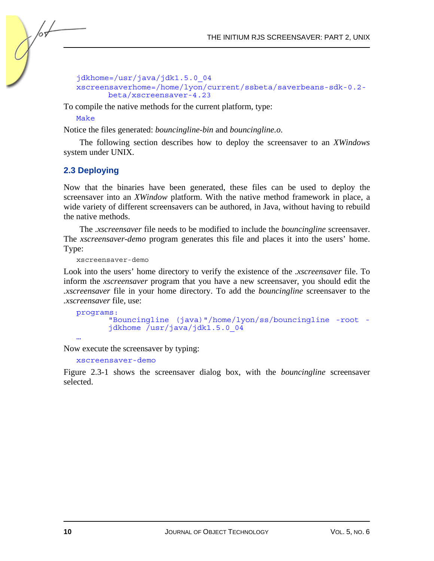```
jdkhome=/usr/java/jdk1.5.0_04 
xscreensaverhome=/home/lyon/current/ssbeta/saverbeans-sdk-0.2-
      beta/xscreensaver-4.23
```
To compile the native methods for the current platform, type:

#### Make

Notice the files generated: *bouncingline-bin* and *bouncingline.o*.

The following section describes how to deploy the screensaver to an *XWindows* system under UNIX.

#### **2.3 Deploying**

Now that the binaries have been generated, these files can be used to deploy the screensaver into an *XWindow* platform. With the native method framework in place, a wide variety of different screensavers can be authored, in Java, without having to rebuild the native methods.

The *.xscreensaver* file needs to be modified to include the *bouncingline* screensaver. The *xscreensaver-demo* program generates this file and places it into the users' home. Type:

xscreensaver-demo

Look into the users' home directory to verify the existence of the *.xscreensaver* file. To inform the *xscreensaver* program that you have a new screensaver, you should edit the *.xscreensaver* file in your home directory. To add the *bouncingline* screensaver to the *.xscreensaver* file, use:

```
programs: 
       "Bouncingline (java)"/home/lyon/ss/bouncingline -root -
      jdkhome /usr/java/jdk1.5.0_04
```
…

Now execute the screensaver by typing:

xscreensaver-demo

Figure 2.3-1 shows the screensaver dialog box, with the *bouncingline* screensaver selected.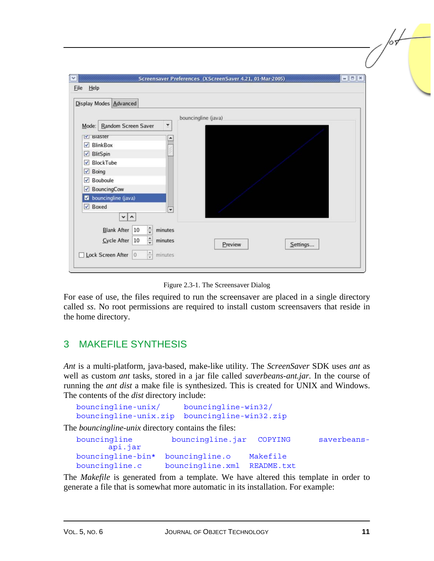| Display Modes Advanced          |                          |                     |  |  |
|---------------------------------|--------------------------|---------------------|--|--|
| Random Screen Saver<br>Mode:    | $\tilde{\mathbf{r}}$     | bouncingline (java) |  |  |
| V Blaster                       | $\overline{\phantom{a}}$ |                     |  |  |
| $\sqrt{\phantom{a}}$ BlinkBox   |                          |                     |  |  |
| $\sqrt{ }$ BlitSpin             |                          |                     |  |  |
| √ BlockTube                     |                          |                     |  |  |
| $\sqrt{ }$ Boing                |                          |                     |  |  |
| Bouboule                        |                          |                     |  |  |
| BouncingCow                     |                          |                     |  |  |
| <b>2</b> bouncingline (java)    |                          |                     |  |  |
| $\sqrt{ }$ Boxed                | $\blacktriangledown$     |                     |  |  |
| $\vee$ $\wedge$                 |                          |                     |  |  |
| $\frac{1}{2}$<br>Blank After 10 | minutes                  |                     |  |  |
| $\frac{1}{2}$<br>Cycle After 10 | minutes                  |                     |  |  |

Figure 2.3-1. The Screensaver Dialog

For ease of use, the files required to run the screensaver are placed in a single directory called *ss*. No root permissions are required to install custom screensavers that reside in the home directory.

## 3 MAKEFILE SYNTHESIS

*Ant* is a multi-platform, java-based, make-like utility. The *ScreenSaver* SDK uses *ant* as well as custom *ant* tasks, stored in a jar file called *saverbeans-ant.jar.* In the course of running the *ant dist* a make file is synthesized. This is created for UNIX and Windows. The contents of the *dist* directory include:

| bouncingline-unix/ | bouncingline-win32/                          |
|--------------------|----------------------------------------------|
|                    | bouncingline-unix.zip bouncingline-win32.zip |

The *bouncingline-unix* directory contains the files:

| bouncingline<br>api.jar          | bouncingline.jar COPYING    |          | saverbeans- |
|----------------------------------|-----------------------------|----------|-------------|
| bouncingline-bin* bouncingline.o |                             | Makefile |             |
| bouncingline.c                   | bouncingline.xml README.txt |          |             |

The *Makefile* is generated from a template. We have altered this template in order to generate a file that is somewhat more automatic in its installation. For example: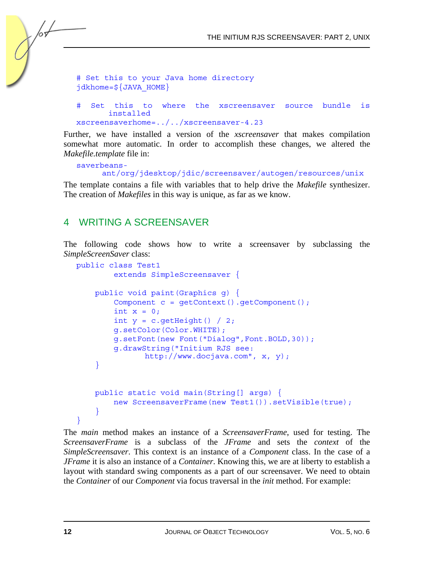```
# Set this to your Java home directory 
jdkhome=\frac{1}{2} JAVA HOME}
```

```
# Set this to where the xscreensaver source bundle is 
      installed 
xscreensaverhome=../../xscreensaver-4.23
```
Further, we have installed a version of the *xscreensaver* that makes compilation somewhat more automatic. In order to accomplish these changes, we altered the *Makefile.template* file in:

```
saverbeans-
     ant/org/jdesktop/jdic/screensaver/autogen/resources/unix
```
The template contains a file with variables that to help drive the *Makefile* synthesizer. The creation of *Makefiles* in this way is unique, as far as we know.

## 4 WRITING A SCREENSAVER

The following code shows how to write a screensaver by subclassing the *SimpleScreenSaver* class:

```
public class Test1 
         extends SimpleScreensaver { 
     public void paint(Graphics g) { 
        Component c = qetContext() . qetComponent();
        int x = 0;
        int y = c.getHeight() / 2; g.setColor(Color.WHITE); 
         g.setFont(new Font("Dialog",Font.BOLD,30)); 
         g.drawString("Initium RJS see: 
                http://www.docjava.com", x, y); 
     } 
     public static void main(String[] args) { 
        new ScreensaverFrame(new Test1()).setVisible(true);
 } 
}
```
The *main* method makes an instance of a *ScreensaverFrame*, used for testing. The *ScreensaverFrame* is a subclass of the *JFrame* and sets the *context* of the *SimpleScreensaver*. This context is an instance of a *Component* class. In the case of a *JFrame* it is also an instance of a *Container*. Knowing this, we are at liberty to establish a layout with standard swing components as a part of our screensaver. We need to obtain the *Container* of our *Component* via focus traversal in the *init* method. For example: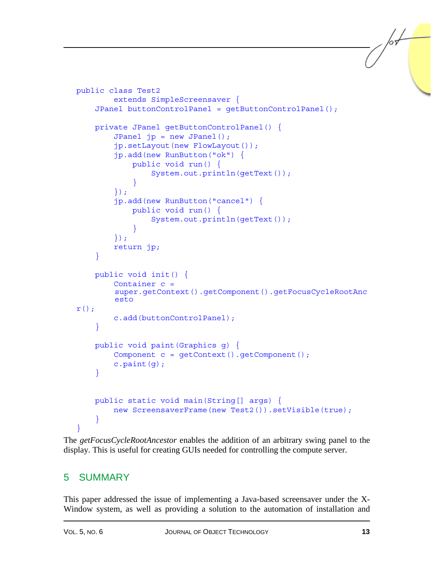```
public class Test2 
         extends SimpleScreensaver { 
     JPanel buttonControlPanel = getButtonControlPanel(); 
     private JPanel getButtonControlPanel() { 
        JPanel jp = new JPanel();
         jp.setLayout(new FlowLayout()); 
         jp.add(new RunButton("ok") { 
             public void run() { 
                 System.out.println(getText()); 
 } 
         }); 
         jp.add(new RunButton("cancel") { 
             public void run() { 
                 System.out.println(getText()); 
 } 
         }); 
         return jp; 
     } 
     public void init() { 
         Container c = 
        super.getContext().getComponent().getFocusCycleRootAnc
        esto 
r();
         c.add(buttonControlPanel); 
 } 
     public void paint(Graphics g) { 
         Component c = getContext().getComponent(); 
        c.path(q); } 
     public static void main(String[] args) { 
        new ScreensaverFrame(new Test2()).setVisible(true);
 } 
}
```
The *getFocusCycleRootAncestor* enables the addition of an arbitrary swing panel to the display. This is useful for creating GUIs needed for controlling the compute server.

## 5 SUMMARY

This paper addressed the issue of implementing a Java-based screensaver under the X-Window system, as well as providing a solution to the automation of installation and /or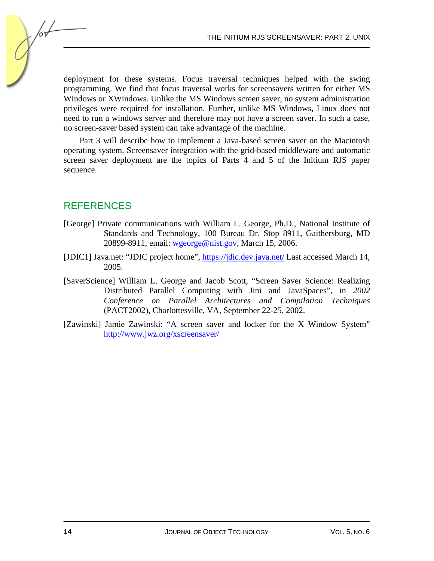deployment for these systems. Focus traversal techniques helped with the swing programming. We find that focus traversal works for screensavers written for either MS Windows or XWindows. Unlike the MS Windows screen saver, no system administration privileges were required for installation. Further, unlike MS Windows, Linux does not need to run a windows server and therefore may not have a screen saver. In such a case, no screen-saver based system can take advantage of the machine.

Part 3 will describe how to implement a Java-based screen saver on the Macintosh operating system. Screensaver integration with the grid-based middleware and automatic screen saver deployment are the topics of Parts 4 and 5 of the Initium RJS paper sequence.

## REFERENCES

- [George] Private communications with William L. George, Ph.D., National Institute of Standards and Technology, 100 Bureau Dr. Stop 8911, Gaithersburg, MD 20899-8911, email: [wgeorge@nist.gov](mailto:wgeorge@nist.gov), March 15, 2006.
- [JDIC1] Java.net: "JDIC project home", <https://jdic.dev.java.net/> Last accessed March 14, 2005.
- [SaverScience] William L. George and Jacob Scott, "Screen Saver Science: Realizing Distributed Parallel Computing with Jini and JavaSpaces", in *2002 Conference on Parallel Architectures and Compilation Techniques* (PACT2002), Charlottesville, VA, September 22-25, 2002.
- [Zawinski] Jamie Zawinski: "A screen saver and locker for the X Window System" http://www.jwz.org/xscreensaver/